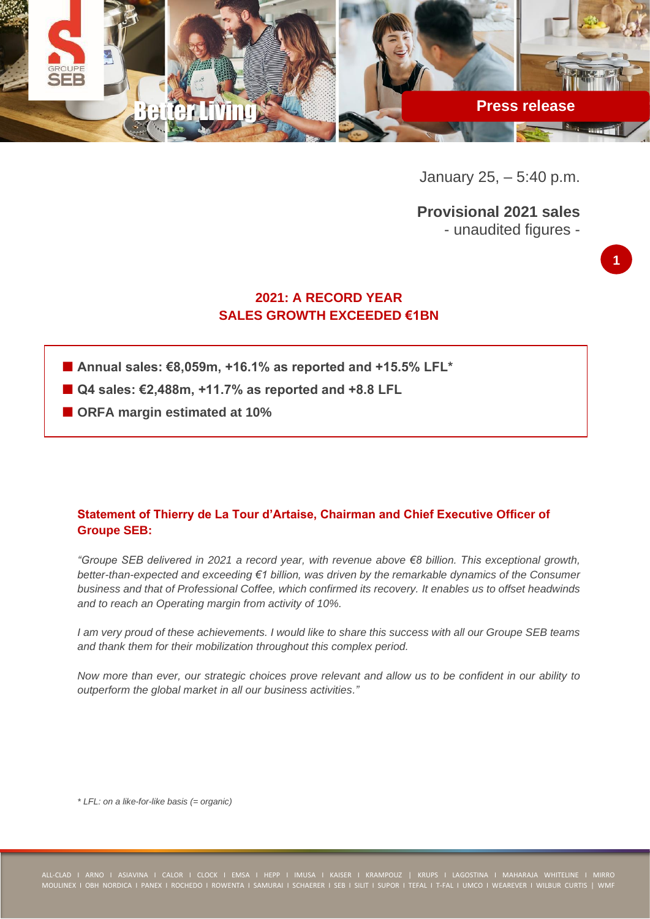

January 25, – 5:40 p.m.

**Provisional 2021 sales** - unaudited figures -



# **2021: A RECORD YEAR SALES GROWTH EXCEEDED €1BN**

- Annual sales: €8,059m, +16,1% as reported and +15,5% LFL<sup>\*</sup>
- **Q4 sales: €2,488m, +11.7% as reported and +8.8 LFL**
- **ORFA margin estimated at 10%**

# **Statement of Thierry de La Tour d'Artaise, Chairman and Chief Executive Officer of Groupe SEB:**

*"Groupe SEB delivered in 2021 a record year, with revenue above €8 billion. This exceptional growth, better-than-expected and exceeding €1 billion, was driven by the remarkable dynamics of the Consumer business and that of Professional Coffee, which confirmed its recovery. It enables us to offset headwinds and to reach an Operating margin from activity of 10%.*

*I am very proud of these achievements. I would like to share this success with all our Groupe SEB teams and thank them for their mobilization throughout this complex period.*

*Now more than ever, our strategic choices prove relevant and allow us to be confident in our ability to outperform the global market in all our business activities."*

*\* LFL: on a like-for-like basis (= organic)*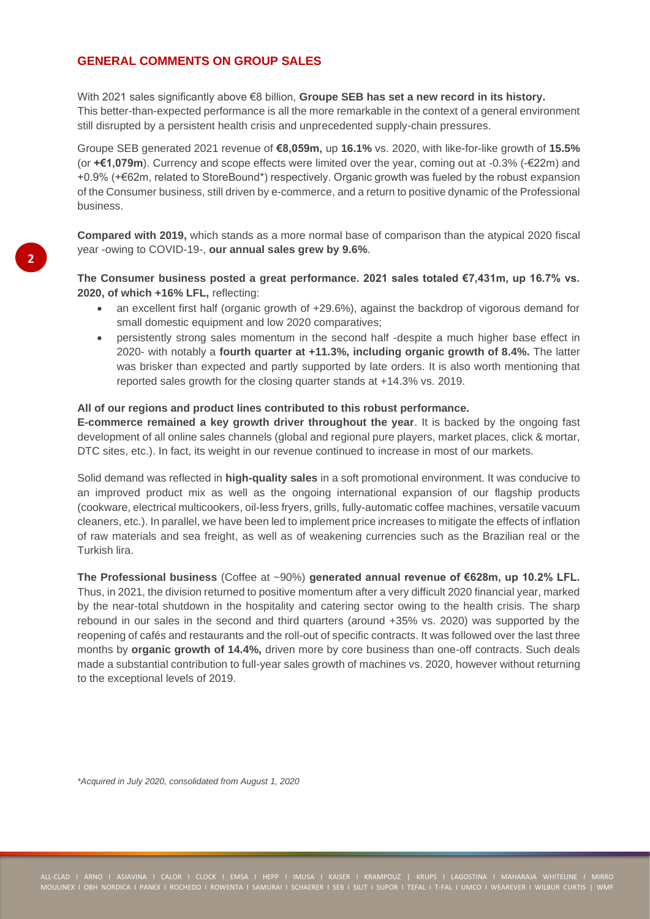# **GENERAL COMMENTS ON GROUP SALES**

With 2021 sales significantly above €8 billion, **Groupe SEB has set a new record in its history.**  This better-than-expected performance is all the more remarkable in the context of a general environment still disrupted by a persistent health crisis and unprecedented supply-chain pressures.

Groupe SEB generated 2021 revenue of **€8,059m,** up **16.1%** vs. 2020, with like-for-like growth of **15.5%**  (or **+€1,079m**). Currency and scope effects were limited over the year, coming out at -0.3% (-€22m) and +0.9% (+€62m, related to StoreBound\*) respectively. Organic growth was fueled by the robust expansion of the Consumer business, still driven by e-commerce, and a return to positive dynamic of the Professional business.

**Compared with 2019,** which stands as a more normal base of comparison than the atypical 2020 fiscal year -owing to COVID-19-, **our annual sales grew by 9.6%**.

**The Consumer business posted a great performance. 2021 sales totaled €7,431m, up 16.7% vs. 2020, of which +16% LFL,** reflecting:

- an excellent first half (organic growth of +29.6%), against the backdrop of vigorous demand for small domestic equipment and low 2020 comparatives;
- persistently strong sales momentum in the second half -despite a much higher base effect in 2020- with notably a **fourth quarter at +11.3%, including organic growth of 8.4%.** The latter was brisker than expected and partly supported by late orders. It is also worth mentioning that reported sales growth for the closing quarter stands at +14.3% vs. 2019.

### **All of our regions and product lines contributed to this robust performance.**

**E-commerce remained a key growth driver throughout the year**. It is backed by the ongoing fast development of all online sales channels (global and regional pure players, market places, click & mortar, DTC sites, etc.). In fact, its weight in our revenue continued to increase in most of our markets.

Solid demand was reflected in **high-quality sales** in a soft promotional environment. It was conducive to an improved product mix as well as the ongoing international expansion of our flagship products (cookware, electrical multicookers, oil-less fryers, grills, fully-automatic coffee machines, versatile vacuum cleaners, etc.). In parallel, we have been led to implement price increases to mitigate the effects of inflation of raw materials and sea freight, as well as of weakening currencies such as the Brazilian real or the Turkish lira.

**The Professional business** (Coffee at ~90%) **generated annual revenue of €628m, up 10.2% LFL.** Thus, in 2021, the division returned to positive momentum after a very difficult 2020 financial year, marked by the near-total shutdown in the hospitality and catering sector owing to the health crisis. The sharp rebound in our sales in the second and third quarters (around +35% vs. 2020) was supported by the reopening of cafés and restaurants and the roll-out of specific contracts. It was followed over the last three months by **organic growth of 14.4%**, driven more by core business than one-off contracts. Such deals made a substantial contribution to full-year sales growth of machines vs. 2020, however without returning to the exceptional levels of 2019.

*\*Acquired in July 2020, consolidated from August 1, 2020*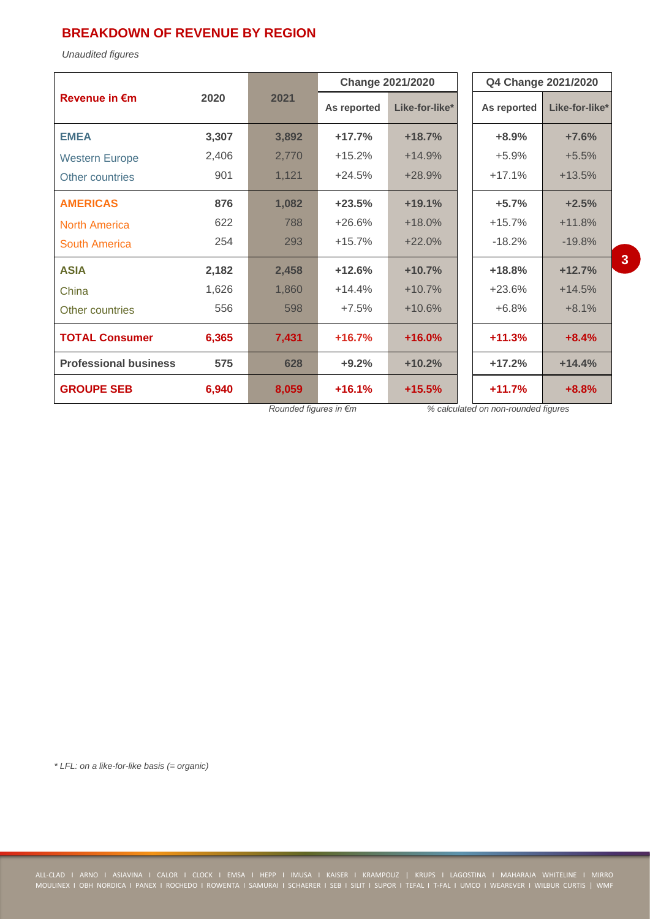# **BREAKDOWN OF REVENUE BY REGION**

*Unaudited figures*

|                              |       |       | <b>Change 2021/2020</b> |                | Q4 Change 2021/2020 |                |  |
|------------------------------|-------|-------|-------------------------|----------------|---------------------|----------------|--|
| <b>Revenue in €m</b>         | 2020  | 2021  | As reported             | Like-for-like* | As reported         | Like-for-like* |  |
| <b>EMEA</b>                  | 3,307 | 3,892 | $+17.7%$                | $+18.7%$       | $+8.9%$             | $+7.6%$        |  |
| <b>Western Europe</b>        | 2,406 | 2,770 | $+15.2%$                | $+14.9%$       | $+5.9%$             | $+5.5%$        |  |
| Other countries              | 901   | 1,121 | $+24.5%$                | $+28.9%$       | $+17.1%$            | $+13.5%$       |  |
| <b>AMERICAS</b>              | 876   | 1,082 | $+23.5%$                | $+19.1%$       | $+5.7%$             | $+2.5%$        |  |
| <b>North America</b>         | 622   | 788   | $+26.6%$                | $+18.0%$       | $+15.7%$            | $+11.8%$       |  |
| South America                | 254   | 293   | $+15.7%$                | $+22.0%$       | $-18.2%$            | $-19.8%$       |  |
| <b>ASIA</b>                  | 2,182 | 2,458 | $+12.6%$                | $+10.7%$       | $+18.8%$            | $+12.7%$       |  |
| China                        | 1,626 | 1,860 | $+14.4%$                | $+10.7%$       | $+23.6%$            | $+14.5%$       |  |
| Other countries              | 556   | 598   | $+7.5%$                 | $+10.6%$       | $+6.8%$             | $+8.1%$        |  |
| <b>TOTAL Consumer</b>        | 6,365 | 7,431 | $+16.7%$                | $+16.0%$       | $+11.3%$            | $+8.4%$        |  |
| <b>Professional business</b> | 575   | 628   | $+9.2%$                 | $+10.2%$       | $+17.2%$            | $+14.4%$       |  |
| <b>GROUPE SEB</b>            | 6,940 | 8,059 | $+16.1%$                | $+15.5%$       | $+11.7%$            | $+8.8%$        |  |

*Rounded figures in €m % calculated on non-rounded figures*

**3**

*\* LFL: on a like-for-like basis (= organic)*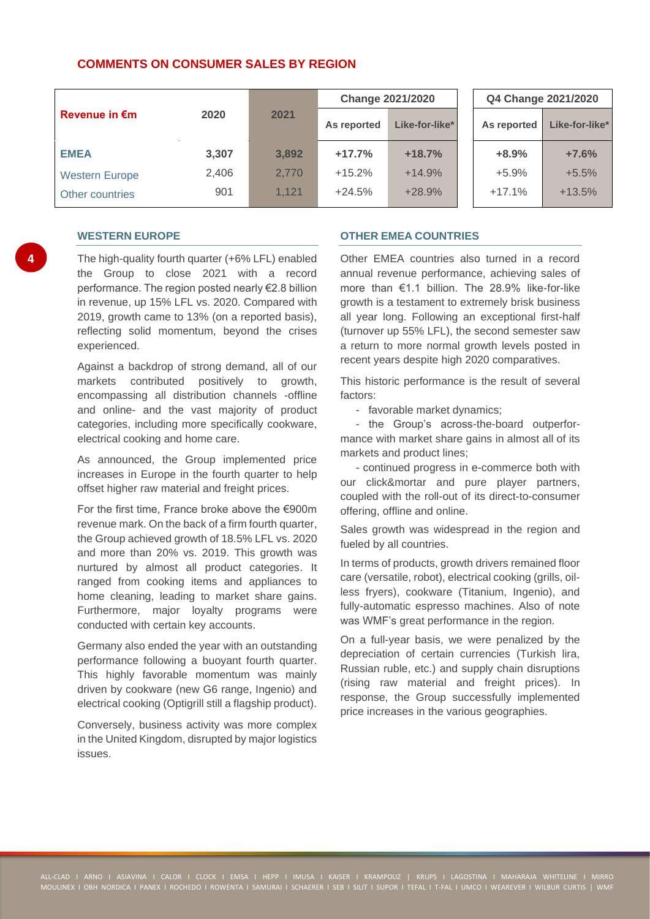## **COMMENTS ON CONSUMER SALES BY REGION**

|                       |       |       | <b>Change 2021/2020</b> |                |  | Q4 Change 2021/2020 |                |  |
|-----------------------|-------|-------|-------------------------|----------------|--|---------------------|----------------|--|
| <b>Revenue in €m</b>  | 2020  | 2021  | As reported             | Like-for-like* |  | As reported         | Like-for-like* |  |
| <b>EMEA</b>           | 3,307 | 3,892 | $+17.7%$                | $+18.7%$       |  | $+8.9%$             | $+7.6%$        |  |
| <b>Western Europe</b> | 2.406 | 2,770 | $+15.2%$                | $+14.9%$       |  | $+5.9%$             | $+5.5%$        |  |
| Other countries       | 901   | 1.121 | $+24.5%$                | $+28.9%$       |  | $+17.1%$            | $+13.5%$       |  |

### **WESTERN EUROPE**

The high-quality fourth quarter (+6% LFL) enabled the Group to close 2021 with a record performance. The region posted nearly €2.8 billion in revenue, up 15% LFL vs. 2020. Compared with 2019, growth came to 13% (on a reported basis), reflecting solid momentum, beyond the crises experienced.

Against a backdrop of strong demand, all of our markets contributed positively to growth, encompassing all distribution channels -offline and online- and the vast majority of product categories, including more specifically cookware, electrical cooking and home care.

As announced, the Group implemented price increases in Europe in the fourth quarter to help offset higher raw material and freight prices.

For the first time, France broke above the €900m revenue mark. On the back of a firm fourth quarter, the Group achieved growth of 18.5% LFL vs. 2020 and more than 20% vs. 2019. This growth was nurtured by almost all product categories. It ranged from cooking items and appliances to home cleaning, leading to market share gains. Furthermore, major loyalty programs were conducted with certain key accounts.

Germany also ended the year with an outstanding performance following a buoyant fourth quarter. This highly favorable momentum was mainly driven by cookware (new G6 range, Ingenio) and electrical cooking (Optigrill still a flagship product).

Conversely, business activity was more complex in the United Kingdom, disrupted by major logistics issues.

## **OTHER EMEA COUNTRIES**

Other EMEA countries also turned in a record annual revenue performance, achieving sales of more than €1.1 billion. The 28.9% like-for-like growth is a testament to extremely brisk business all year long. Following an exceptional first-half (turnover up 55% LFL), the second semester saw a return to more normal growth levels posted in recent years despite high 2020 comparatives.

This historic performance is the result of several factors:

- favorable market dynamics;

- the Group's across-the-board outperformance with market share gains in almost all of its markets and product lines;

- continued progress in e-commerce both with our click&mortar and pure player partners, coupled with the roll-out of its direct-to-consumer offering, offline and online.

Sales growth was widespread in the region and fueled by all countries.

In terms of products, growth drivers remained floor care (versatile, robot), electrical cooking (grills, oilless fryers), cookware (Titanium, Ingenio), and fully-automatic espresso machines. Also of note was WMF's great performance in the region.

On a full-year basis, we were penalized by the depreciation of certain currencies (Turkish lira, Russian ruble, etc.) and supply chain disruptions (rising raw material and freight prices). In response, the Group successfully implemented price increases in the various geographies.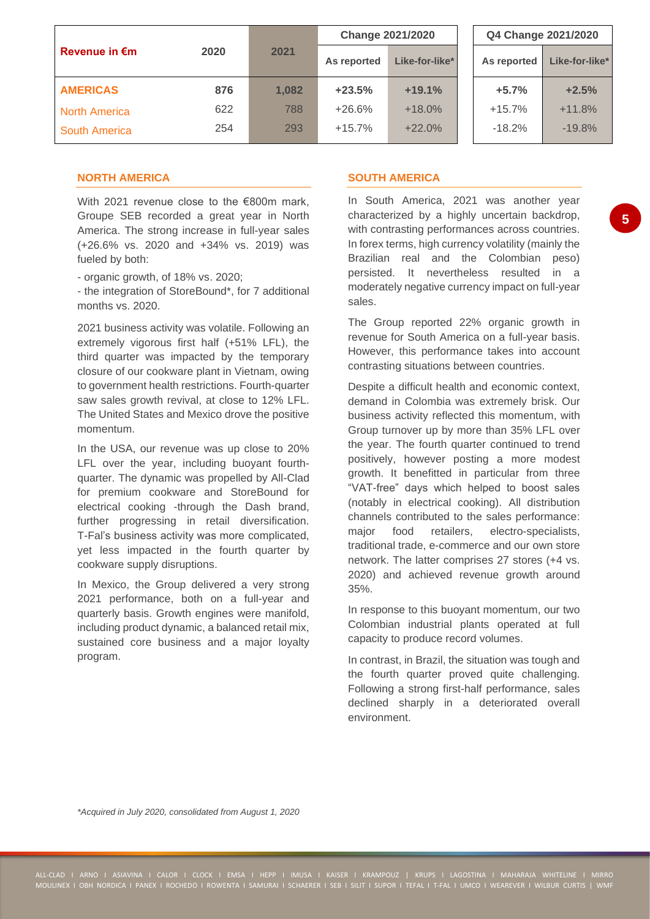|                      |      |       | <b>Change 2021/2020</b> |                |  | Q4 Change 2021/2020 |                |  |
|----------------------|------|-------|-------------------------|----------------|--|---------------------|----------------|--|
| <b>Revenue in €m</b> | 2020 | 2021  | As reported             | Like-for-like* |  | As reported         | Like-for-like* |  |
| <b>AMERICAS</b>      | 876  | 1,082 | $+23.5%$                | $+19.1%$       |  | $+5.7%$             | $+2.5%$        |  |
| <b>North America</b> | 622  | 788   | $+26.6%$                | $+18.0%$       |  | $+15.7%$            | $+11.8%$       |  |
| <b>South America</b> | 254  | 293   | $+15.7%$                | $+22.0%$       |  | $-18.2%$            | $-19.8%$       |  |

## **NORTH AMERICA**

With 2021 revenue close to the €800m mark. Groupe SEB recorded a great year in North America. The strong increase in full-year sales (+26.6% vs. 2020 and +34% vs. 2019) was fueled by both:

- organic growth, of 18% vs. 2020;

- the integration of StoreBound\*, for 7 additional months vs. 2020.

2021 business activity was volatile. Following an extremely vigorous first half (+51% LFL), the third quarter was impacted by the temporary closure of our cookware plant in Vietnam, owing to government health restrictions. Fourth-quarter saw sales growth revival, at close to 12% LFL. The United States and Mexico drove the positive momentum.

In the USA, our revenue was up close to 20% LFL over the year, including buoyant fourthquarter. The dynamic was propelled by All-Clad for premium cookware and StoreBound for electrical cooking -through the Dash brand, further progressing in retail diversification. T-Fal's business activity was more complicated, yet less impacted in the fourth quarter by cookware supply disruptions.

In Mexico, the Group delivered a very strong 2021 performance, both on a full-year and quarterly basis. Growth engines were manifold, including product dynamic, a balanced retail mix, sustained core business and a major loyalty program.

## **SOUTH AMERICA**

In South America, 2021 was another year characterized by a highly uncertain backdrop, with contrasting performances across countries. In forex terms, high currency volatility (mainly the Brazilian real and the Colombian peso) persisted. It nevertheless resulted in a moderately negative currency impact on full-year sales.

The Group reported 22% organic growth in revenue for South America on a full-year basis. However, this performance takes into account contrasting situations between countries.

Despite a difficult health and economic context, demand in Colombia was extremely brisk. Our business activity reflected this momentum, with Group turnover up by more than 35% LFL over the year. The fourth quarter continued to trend positively, however posting a more modest growth. It benefitted in particular from three "VAT-free" days which helped to boost sales (notably in electrical cooking). All distribution channels contributed to the sales performance: major food retailers, electro-specialists, traditional trade, e-commerce and our own store network. The latter comprises 27 stores (+4 vs. 2020) and achieved revenue growth around 35%.

In response to this buoyant momentum, our two Colombian industrial plants operated at full capacity to produce record volumes.

In contrast, in Brazil, the situation was tough and the fourth quarter proved quite challenging. Following a strong first-half performance, sales declined sharply in a deteriorated overall environment.

*\*Acquired in July 2020, consolidated from August 1, 2020*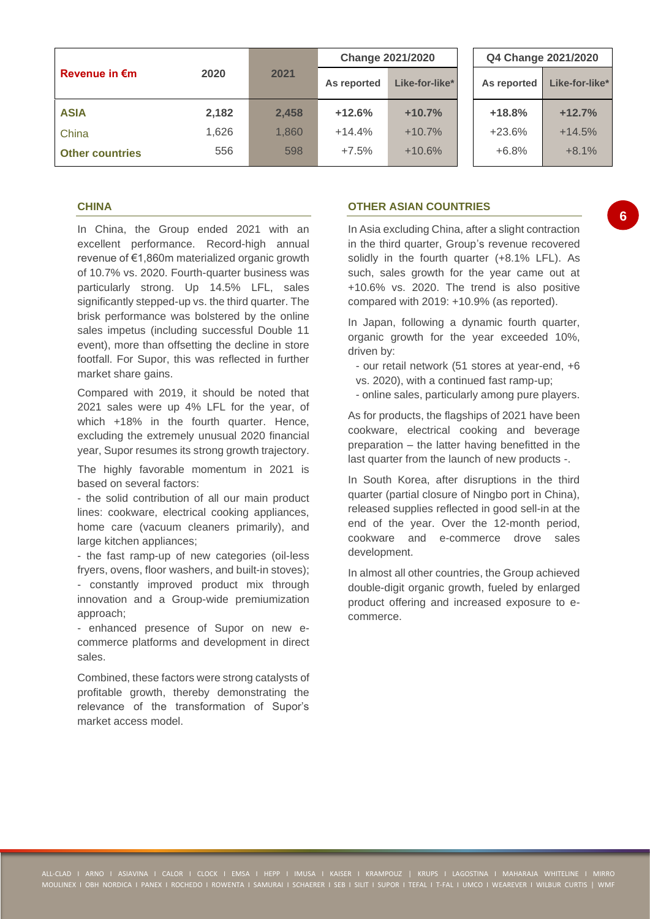|                         |       |       | <b>Change 2021/2020</b> |                |  | Q4 Change 2021/2020 |                |  |
|-------------------------|-------|-------|-------------------------|----------------|--|---------------------|----------------|--|
| Revenue in $\epsilon$ m | 2020  | 2021  | As reported             | Like-for-like* |  | As reported         | Like-for-like* |  |
| <b>ASIA</b>             | 2,182 | 2,458 | $+12.6%$                | $+10.7%$       |  | $+18.8%$            | $+12.7%$       |  |
| China                   | 1.626 | 1,860 | $+14.4%$                | $+10.7%$       |  | $+23.6%$            | $+14.5%$       |  |
| <b>Other countries</b>  | 556   | 598   | $+7.5%$                 | $+10.6%$       |  | $+6.8%$             | $+8.1%$        |  |

## **CHINA**

In China, the Group ended 2021 with an excellent performance. Record-high annual revenue of €1,860m materialized organic growth of 10.7% vs. 2020. Fourth-quarter business was particularly strong. Up 14.5% LFL, sales significantly stepped-up vs. the third quarter. The brisk performance was bolstered by the online sales impetus (including successful Double 11 event), more than offsetting the decline in store footfall. For Supor, this was reflected in further market share gains.

Compared with 2019, it should be noted that 2021 sales were up 4% LFL for the year, of which +18% in the fourth quarter. Hence, excluding the extremely unusual 2020 financial year, Supor resumes its strong growth trajectory.

The highly favorable momentum in 2021 is based on several factors:

- the solid contribution of all our main product lines: cookware, electrical cooking appliances, home care (vacuum cleaners primarily), and large kitchen appliances;

- the fast ramp-up of new categories (oil-less fryers, ovens, floor washers, and built-in stoves); - constantly improved product mix through innovation and a Group-wide premiumization approach;

- enhanced presence of Supor on new ecommerce platforms and development in direct sales.

Combined, these factors were strong catalysts of profitable growth, thereby demonstrating the relevance of the transformation of Supor's market access model

## **OTHER ASIAN COUNTRIES**

In Asia excluding China, after a slight contraction in the third quarter, Group's revenue recovered solidly in the fourth quarter (+8.1% LFL). As such, sales growth for the year came out at +10.6% vs. 2020. The trend is also positive compared with 2019: +10.9% (as reported).

In Japan, following a dynamic fourth quarter, organic growth for the year exceeded 10%, driven by:

- our retail network (51 stores at year-end, +6 vs. 2020), with a continued fast ramp-up;
- online sales, particularly among pure players.

As for products, the flagships of 2021 have been cookware, electrical cooking and beverage preparation – the latter having benefitted in the last quarter from the launch of new products -.

In South Korea, after disruptions in the third quarter (partial closure of Ningbo port in China), released supplies reflected in good sell-in at the end of the year. Over the 12-month period, cookware and e-commerce drove sales development.

In almost all other countries, the Group achieved double-digit organic growth, fueled by enlarged product offering and increased exposure to ecommerce.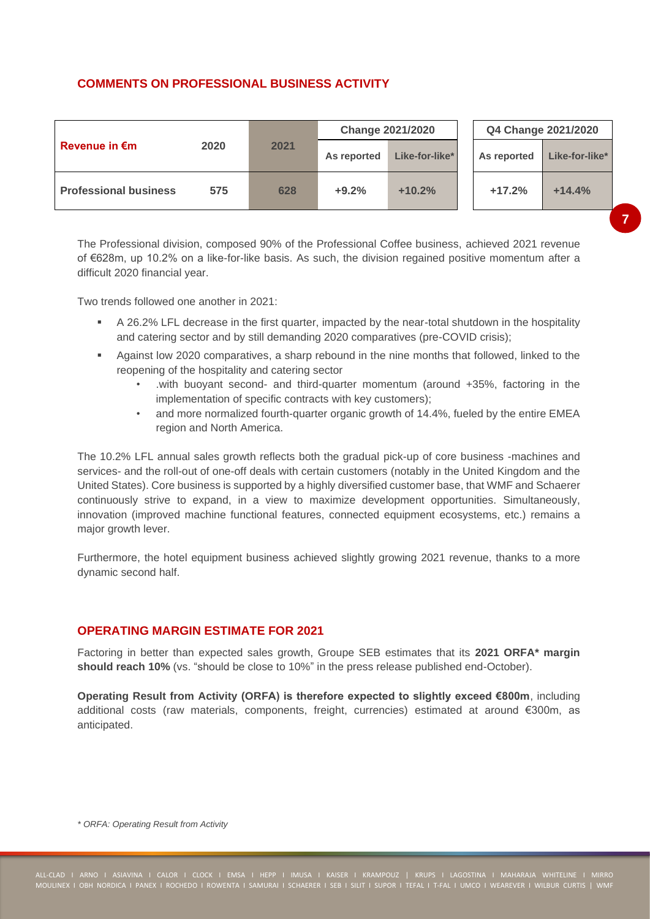# **COMMENTS ON PROFESSIONAL BUSINESS ACTIVITY**

|                              |      |      |             | <b>Change 2021/2020</b> | Q4 Change 2021/2020 |                |  |
|------------------------------|------|------|-------------|-------------------------|---------------------|----------------|--|
| Revenue in $\epsilon$ m      | 2020 | 2021 | As reported | Like-for-like*          | As reported         | Like-for-like* |  |
| <b>Professional business</b> | 575  | 628  | $+9.2%$     | $+10.2%$                | $+17.2%$            | $+14.4%$       |  |

The Professional division, composed 90% of the Professional Coffee business, achieved 2021 revenue of €628m, up 10.2% on a like-for-like basis. As such, the division regained positive momentum after a difficult 2020 financial year.

Two trends followed one another in 2021:

- A 26.2% LFL decrease in the first quarter, impacted by the near-total shutdown in the hospitality and catering sector and by still demanding 2020 comparatives (pre-COVID crisis);
- Against low 2020 comparatives, a sharp rebound in the nine months that followed, linked to the reopening of the hospitality and catering sector
	- with buoyant second- and third-quarter momentum (around +35%, factoring in the implementation of specific contracts with key customers);
	- and more normalized fourth-quarter organic growth of 14.4%, fueled by the entire EMEA region and North America.

The 10.2% LFL annual sales growth reflects both the gradual pick-up of core business -machines and services- and the roll-out of one-off deals with certain customers (notably in the United Kingdom and the United States). Core business is supported by a highly diversified customer base, that WMF and Schaerer continuously strive to expand, in a view to maximize development opportunities. Simultaneously, innovation (improved machine functional features, connected equipment ecosystems, etc.) remains a major growth lever.

Furthermore, the hotel equipment business achieved slightly growing 2021 revenue, thanks to a more dynamic second half.

## **OPERATING MARGIN ESTIMATE FOR 2021**

Factoring in better than expected sales growth, Groupe SEB estimates that its **2021 ORFA\* margin should reach 10%** (vs. "should be close to 10%" in the press release published end-October).

**Operating Result from Activity (ORFA) is therefore expected to slightly exceed €800m**, including additional costs (raw materials, components, freight, currencies) estimated at around €300m, as anticipated.

*\* ORFA: Operating Result from Activity*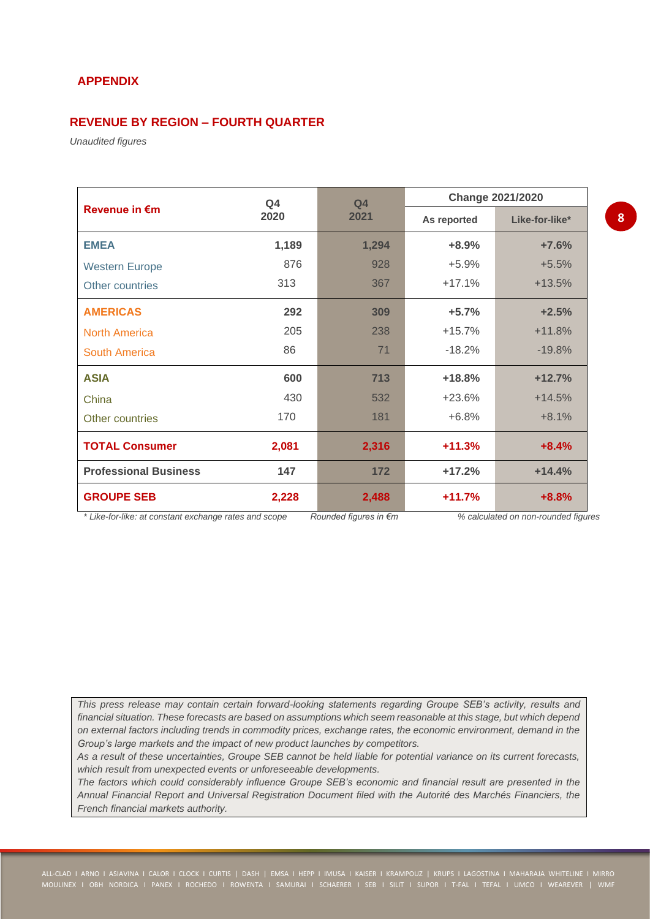# **APPENDIX**

# **REVENUE BY REGION – FOURTH QUARTER**

*Unaudited figures*

|                              | Q <sub>4</sub> | Q <sub>4</sub> | <b>Change 2021/2020</b> |                |  |  |
|------------------------------|----------------|----------------|-------------------------|----------------|--|--|
| <b>Revenue in €m</b>         | 2020           | 2021           | As reported             | Like-for-like* |  |  |
| <b>EMEA</b>                  | 1,189          | 1,294          | $+8.9%$                 | $+7.6%$        |  |  |
| <b>Western Europe</b>        | 876            | 928            | $+5.9%$                 | $+5.5%$        |  |  |
| Other countries              | 313            | 367            | $+17.1%$                | $+13.5%$       |  |  |
| <b>AMERICAS</b>              | 292            | 309            | $+5.7%$                 | $+2.5%$        |  |  |
| <b>North America</b>         | 205            | 238            | $+15.7%$                | $+11.8%$       |  |  |
| South America                | 86             | 71             | $-18.2%$                | $-19.8%$       |  |  |
| <b>ASIA</b>                  | 600            | 713            | $+18.8%$                | $+12.7%$       |  |  |
| China                        | 430            | 532            | $+23.6%$                | $+14.5%$       |  |  |
| Other countries              | 170            | 181            | $+6.8%$                 | $+8.1%$        |  |  |
| <b>TOTAL Consumer</b>        | 2,081          | 2,316          | $+11.3%$                | $+8.4%$        |  |  |
| <b>Professional Business</b> | 147            | 172            | $+17.2%$                | $+14.4%$       |  |  |
| <b>GROUPE SEB</b>            | 2,228          | 2,488          | $+11.7%$                | $+8.8%$        |  |  |

*\* Like-for-like: at constant exchange rates and scope Rounded figures in €m % calculated on non-rounded figures*

*This press release may contain certain forward-looking statements regarding Groupe SEB's activity, results and financial situation. These forecasts are based on assumptions which seem reasonable at this stage, but which depend on external factors including trends in commodity prices, exchange rates, the economic environment, demand in the Group's large markets and the impact of new product launches by competitors.* 

*As a result of these uncertainties, Groupe SEB cannot be held liable for potential variance on its current forecasts, which result from unexpected events or unforeseeable developments.*

*The factors which could considerably influence Groupe SEB's economic and financial result are presented in the Annual Financial Report and Universal Registration Document filed with the Autorité des Marchés Financiers, the French financial markets authority.*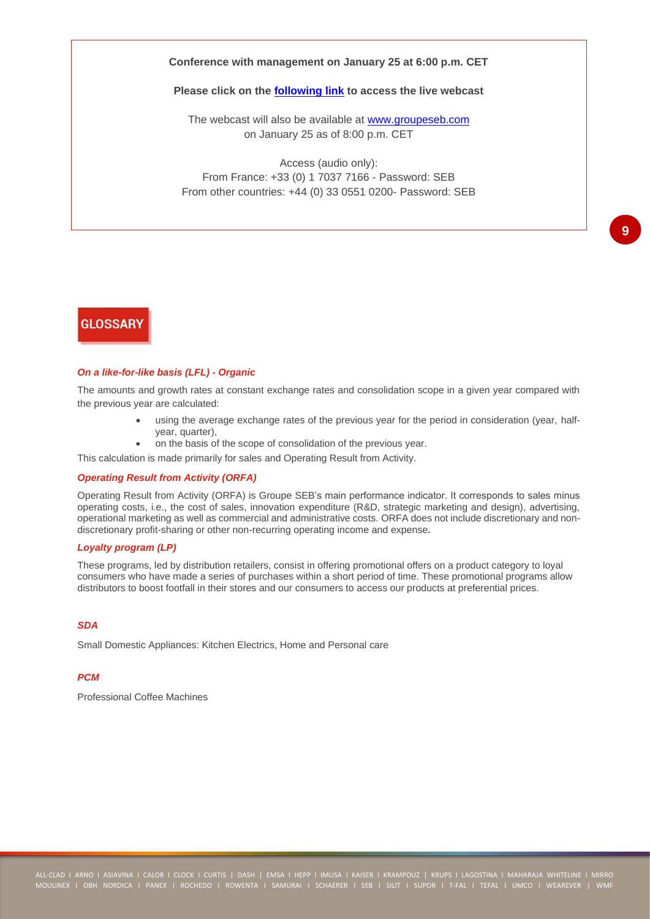### **Conference with management on January 25 at 6:00 p.m. CET**

#### **Please click on the [following link](https://channel.royalcast.com/landingpage/seb-en/20220125_1/) to access the live webcast**

The webcast will also be available at [www.groupeseb.com](https://www.groupeseb.com/en/financial-informations-and-presentations) on January 25 as of 8:00 p.m. CET

Access (audio only): From France: +33 (0) 1 7037 7166 - Password: SEB From other countries: +44 (0) 33 0551 0200- Password: SEB

# **GLOSSARY**

#### *On a like-for-like basis (LFL) - Organic*

The amounts and growth rates at constant exchange rates and consolidation scope in a given year compared with the previous year are calculated:

- using the average exchange rates of the previous year for the period in consideration (year, halfyear, quarter),
- on the basis of the scope of consolidation of the previous year.

This calculation is made primarily for sales and Operating Result from Activity.

#### *Operating Result from Activity (ORFA)*

Operating Result from Activity (ORFA) is Groupe SEB's main performance indicator. It corresponds to sales minus operating costs, i.e., the cost of sales, innovation expenditure (R&D, strategic marketing and design), advertising, operational marketing as well as commercial and administrative costs. ORFA does not include discretionary and nondiscretionary profit-sharing or other non-recurring operating income and expense*.*

### *Loyalty program (LP)*

These programs, led by distribution retailers, consist in offering promotional offers on a product category to loyal consumers who have made a series of purchases within a short period of time. These promotional programs allow distributors to boost footfall in their stores and our consumers to access our products at preferential prices.

#### *SDA*

Small Domestic Appliances: Kitchen Electrics, Home and Personal care

### *PCM*

Professional Coffee Machines